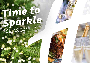# *Time to [Sparkle](https://ipswich.hichristmas.co.uk) Book your Christmas Party and Events*

*at Holiday Inn® Ipswich*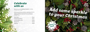Why not join us at the **Holiday Inn Ipswich** to celebrate Christmas 2022 in style?

Whether you're looking to organise a spectacular Christmas party for colleagues, a festive night out for friends or a celebratory feast with loved ones, we've got the perfect package for you.

### *Celebrate with us*



2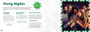#### *All Inclusive Party Night*

Our all-inclusive party nights include everything you need for the perfect festive night out! Enjoy a three-course meal, disco and drinks throughout the evening. The bar will offer you plenty of choice from house wine, house spirits & mixers, draught lager/beer, selected alcopops and soft drinks all included in the price. The all-inclusive bar is available from 8pm - 12am

> Saturday 26<sup>th</sup> November **Friday 20th January**

A glass of chilled fizz will be waiting for you upon arrival at our festive party night. Enjoy a three course meal and then dance the night away with our DJ who will take you through the decades with all the partu classics!

**£54.95 per adult**

# *[Party Nights](https://ipswich.hichristmas.co.uk)*

**Fridays: 2nd, 9th, 16th & 23rd December** Saturdays: 3<sup>rd</sup>, 10<sup>th</sup> & 17<sup>th</sup> December

Our festive party nights will be held in the Wolsey suite which can accommodate up to 100 people and has it's own private bar area. All-Inclusive and Dance through the Decades parties start at 7.30pm, dinner served at 8.00pm, last orders at mid-night and carriages at 12.30am.

#### *Dance Through the Decades*

#### **£32.95 per adult**



#### *Meet, Stay and Party*

Work, rest and play! Join us throughout November, December or January with your colleagues for a full-day meeting, your choice of celebration in the evening, overnight accommodation and breakfast the following day. Plan your end-of-year meeting today! Please enquire for availability and pricing.

#### *Private Parties*

From intimate family gatherings to large corporate parties, we have functions rooms available to hire based on your requirements. Please contact us so we can help you plan your perfect celebration. Minimum numbers apply. Prices available upon request. Pre-booking only and subject to availability. Dates sell fast so enquire today!

4

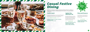## *[Casual Festive](https://ipswich.hichristmas.co.uk) Dining*

Whether you're looking to organise a spectacular Christmas dinner for colleagues, a festive lunch for friends or a celebratory feast with loved ones, we've got the perfect event for you.

#### *Festive Lunch*

Our festive lunches are perfect for any occasion, whether you want to spend time with family, friends or work colleagues. Includes a glass of fizz upon arrival and a three-course festive meal.

**Available seven days a week. (subject to availability). Pre-booking essential. Call 03333 209 330 opt 4 to book.**

#### *Pizza and Prosecco*

Pizza and Prosecco = Perfect! Book today so you can enjoy a pizza and a glass of Prosecco each in the relaxed atmosphere of our Open Lobby.

#### **£14.95 per person**

#### *Festive Fizz Afternoon Tea*

Enjoy a festive afternoon tea, including tea & coffee and a refreshing glass of fizz! The perfect treat for anyone to enjoy. It also includes a selection of sandwiches, scones with cream & jam and a mouthwatering slice of seasonal cake.



#### **£18.00 per person**



**From £17.95 per person**

**Available every Tuesday and Thursday throughout December at 12pm, 12:30pm and 1pm. Pre-booking essential, available to book online.** 

**Fridays and Sundays throughout December at 5pm, 6pm and 6:30pm. Available to book online.**

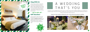### *Stay With Us*

We are excited to share with you the amazing gift vouchers we now have available at Holiday Inn Ipswich. From delightful afternoon teas to overnight break packages, there's a gift for everyone. Give the gift of travel this uear!

### *Gift Vouchers* $-$  Up to 20% off  $-$



Christmas is such a wonderful time of year, why not consider having a festive wedding celebration? Our weddings are [available all year round and our fantastic wedding team will work with you to ensure you get everything you desire to](http://www.hiipswichhotel.co.uk/weddings)  make your special day a dream come true.

#### Contact us to start creating a wedding that's you, or click to find out more about our weddings





# A WEDDING THAT'S YOU

Why not make a night of it and enjoy our special Christmas rates? Room types include standard double, family and twin. Take advantage of up to 20% off our best flexible, bed and breakfast rate. No deposit required and can be cancelled free of charge up to 48 hours prior to arrival.